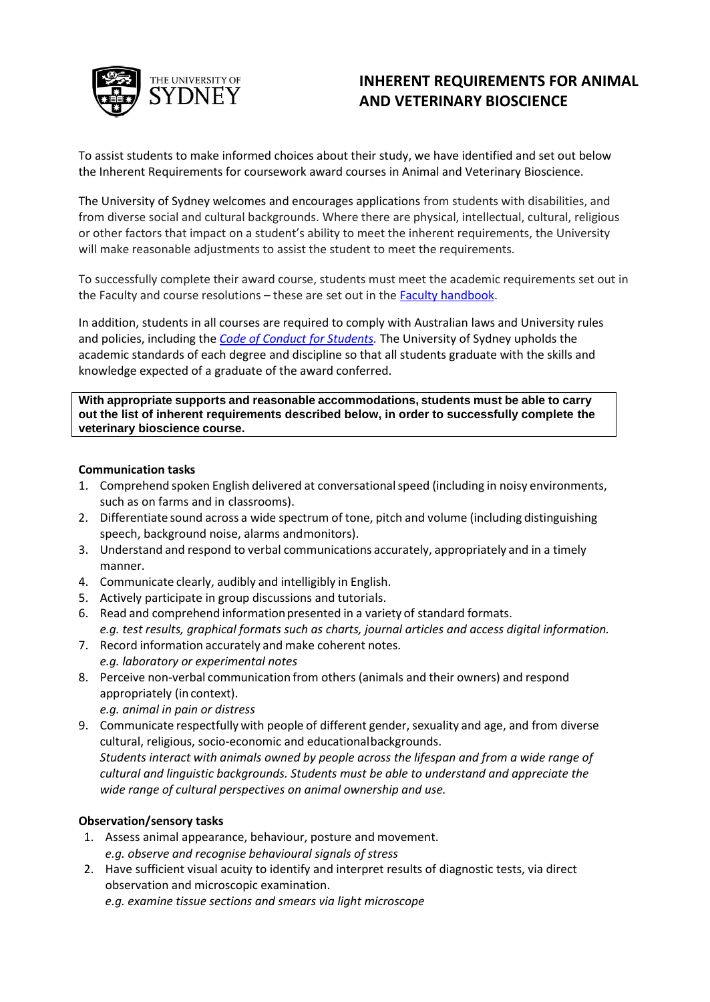

# **INHERENT REQUIREMENTS FOR ANIMAL AND VETERINARY BIOSCIENCE**

To assist students to make informed choices about their study, we have identified and set out below the Inherent Requirements for coursework award courses in Animal and Veterinary Bioscience.

The University of Sydney welcomes and encourages applications from students with disabilities, and from diverse social and cultural backgrounds. Where there are physical, intellectual, cultural, religious or other factors that impact on a student's ability to meet the inherent requirements, the University will make reasonable adjustments to assist the student to meet the requirements.

To successfully complete their award course, students must meet the academic requirements set out in the Faculty and course resolutions - these are set out in the **Faculty handbook**.

In addition, students in all courses are required to comply with Australian laws and University rules and policies, including the *Code of Conduct for Students.* The University of Sydney upholds the academic standards of each degree and discipline so that all students graduate with the skills and knowledge expected of a graduate of the award conferred.

**With appropriate supports and reasonable accommodations, students must be able to carry out the list of inherent requirements described below, in order to successfully complete the veterinary bioscience course.**

### **Communication tasks**

- 1. Comprehend spoken English delivered at conversationalspeed (including in noisy environments, such as on farms and in classrooms).
- 2. Differentiate sound across a wide spectrum of tone, pitch and volume (including distinguishing speech, background noise, alarms andmonitors).
- 3. Understand and respond to verbal communications accurately, appropriately and in a timely manner.
- 4. Communicate clearly, audibly and intelligibly in English.
- 5. Actively participate in group discussions and tutorials.
- 6. Read and comprehend informationpresented in a variety of standard formats.

*e.g. test results, graphical formats such as charts, journal articles and access digital information.*

- 7. Record information accurately and make coherent notes. *e.g. laboratory or experimental notes*
- 8. Perceive non-verbal communication from others (animals and their owners) and respond appropriately (in context).
	- *e.g. animal in pain or distress*
- 9. Communicate respectfully with people of different gender, sexuality and age, and from diverse cultural, religious, socio-economic and educationalbackgrounds. *Students interact with animals owned by people across the lifespan and from a wide range of cultural and linguistic backgrounds. Students must be able to understand and appreciate the*

*wide range of cultural perspectives on animal ownership and use.*

# **Observation/sensory tasks**

- 1. Assess animal appearance, behaviour, posture and movement. *e.g. observe and recognise behavioural signals of stress*
- 2. Have sufficient visual acuity to identify and interpret results of diagnostic tests, via direct observation and microscopic examination.
	- *e.g. examine tissue sections and smears via light microscope*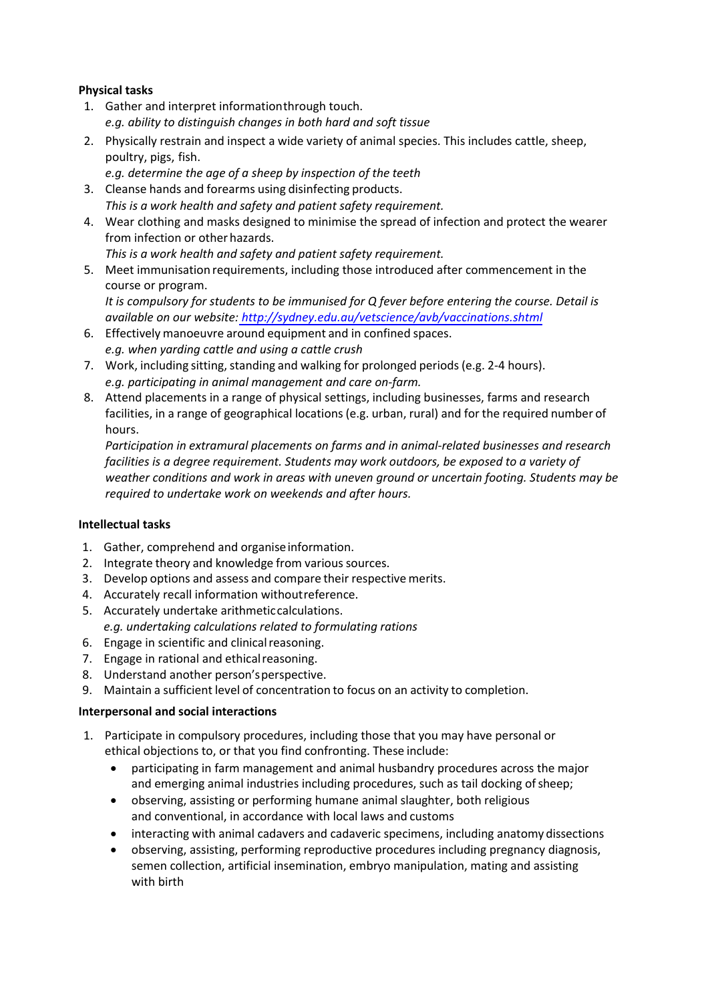# **Physical tasks**

- 1. Gather and interpret information through touch. *e.g. ability to distinguish changes in both hard and soft tissue*
- 2. Physically restrain and inspect a wide variety of animal species. This includes cattle, sheep, poultry, pigs, fish.
	- *e.g. determine the age of a sheep by inspection of the teeth*
- 3. Cleanse hands and forearms using disinfecting products. *This is a work health and safety and patient safety requirement.*
- 4. Wear clothing and masks designed to minimise the spread of infection and protect the wearer from infection or other hazards.
	- *This is a work health and safety and patient safety requirement.*
- 5. Meet immunisation requirements, including those introduced after commencement in the course or program.

*It is compulsory for stud[ents to be immunised for Q fever before entering the cours](http://sydney.edu.au/vetscience/avb/vaccinations.shtml)e. Detail is available on our website: http://sydney.edu.au/vetscience/avb/vaccinations.shtml*

- 6. Effectively manoeuvre around equipment and in confined spaces. *e.g. when yarding cattle and using a cattle crush*
- 7. Work, including sitting, standing and walking for prolonged periods (e.g. 2-4 hours). *e.g. participating in animal management and care on-farm.*
- 8. Attend placements in a range of physical settings, including businesses, farms and research facilities, in a range of geographical locations (e.g. urban, rural) and for the required number of hours.

*Participation in extramural placements on farms and in animal-related businesses and research facilities is a degree requirement. Students may work outdoors, be exposed to a variety of weather conditions and work in areas with uneven ground or uncertain footing. Students may be required to undertake work on weekends and after hours.*

# **Intellectual tasks**

- 1. Gather, comprehend and organiseinformation.
- 2. Integrate theory and knowledge from various sources.
- 3. Develop options and assess and compare their respective merits.
- 4. Accurately recall information withoutreference.
- 5. Accurately undertake arithmeticcalculations.
- *e.g. undertaking calculations related to formulating rations*
- 6. Engage in scientific and clinical reasoning.
- 7. Engage in rational and ethicalreasoning.
- 8. Understand another person'sperspective.
- 9. Maintain a sufficient level of concentration to focus on an activity to completion.

# **Interpersonal and social interactions**

- 1. Participate in compulsory procedures, including those that you may have personal or ethical objections to, or that you find confronting. These include:
	- participating in farm management and animal husbandry procedures across the major and emerging animal industries including procedures, such as tail docking of sheep;
	- observing, assisting or performing humane animal slaughter, both religious and conventional, in accordance with local laws and customs
	- interacting with animal cadavers and cadaveric specimens, including anatomy dissections
	- observing, assisting, performing reproductive procedures including pregnancy diagnosis, semen collection, artificial insemination, embryo manipulation, mating and assisting with birth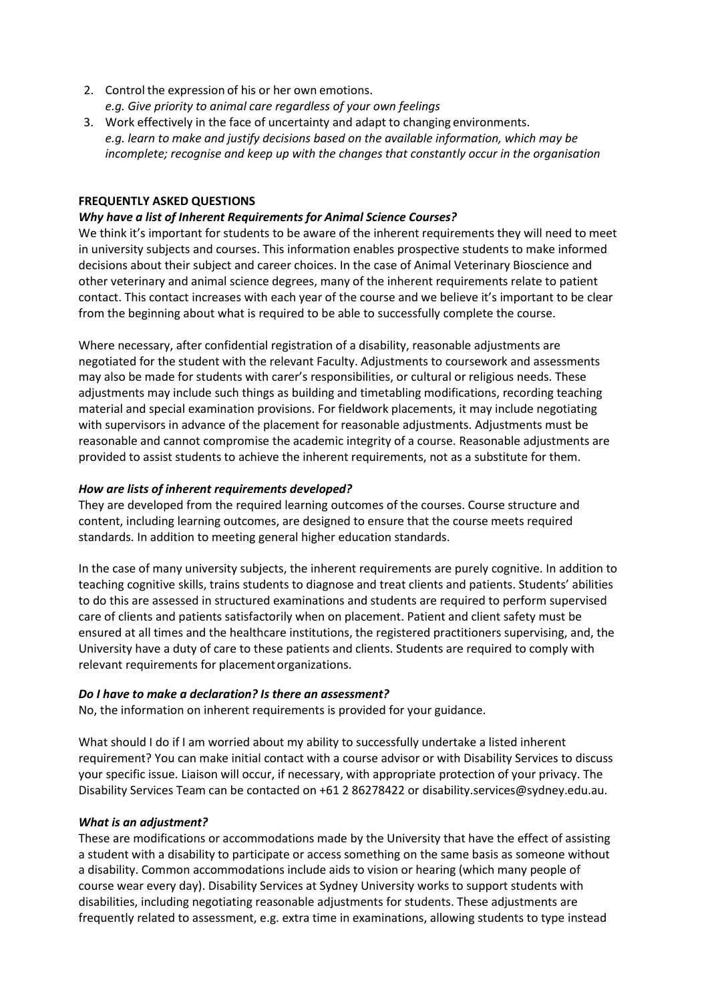- 2. Control the expression of his or her own emotions. *e.g. Give priority to animal care regardless of your own feelings*
- 3. Work effectively in the face of uncertainty and adapt to changing environments. *e.g. learn to make and justify decisions based on the available information, which may be incomplete; recognise and keep up with the changes that constantly occur in the organisation*

## **FREQUENTLY ASKED QUESTIONS**

## *Why have a list of Inherent Requirements for Animal Science Courses?*

We think it's important for students to be aware of the inherent requirements they will need to meet in university subjects and courses. This information enables prospective students to make informed decisions about their subject and career choices. In the case of Animal Veterinary Bioscience and other veterinary and animal science degrees, many of the inherent requirements relate to patient contact. This contact increases with each year of the course and we believe it's important to be clear from the beginning about what is required to be able to successfully complete the course.

Where necessary, after confidential registration of a disability, reasonable adjustments are negotiated for the student with the relevant Faculty. Adjustments to coursework and assessments may also be made for students with carer's responsibilities, or cultural or religious needs. These adjustments may include such things as building and timetabling modifications, recording teaching material and special examination provisions. For fieldwork placements, it may include negotiating with supervisors in advance of the placement for reasonable adjustments. Adjustments must be reasonable and cannot compromise the academic integrity of a course. Reasonable adjustments are provided to assist students to achieve the inherent requirements, not as a substitute for them.

## *How are lists of inherent requirements developed?*

They are developed from the required learning outcomes of the courses. Course structure and content, including learning outcomes, are designed to ensure that the course meets required standards. In addition to meeting general higher education standards.

In the case of many university subjects, the inherent requirements are purely cognitive. In addition to teaching cognitive skills, trains students to diagnose and treat clients and patients. Students' abilities to do this are assessed in structured examinations and students are required to perform supervised care of clients and patients satisfactorily when on placement. Patient and client safety must be ensured at all times and the healthcare institutions, the registered practitioners supervising, and, the University have a duty of care to these patients and clients. Students are required to comply with relevant requirements for placementorganizations.

### *Do I have to make a declaration? Is there an assessment?*

No, the information on inherent requirements is provided for your guidance.

What should I do if I am worried about my ability to successfully undertake a listed inherent requirement? You can make initial contact with a course advisor or with Disability Services to discuss your specific issue. Liaison will occur, if necessary, with appropriate protection of your privacy. The Disability Services Team can be contacted on +61 2 86278422 or [disability.services@sydney.edu.au.](mailto:disability.services@sydney.edu.au)

### *What is an adjustment?*

These are modifications or accommodations made by the University that have the effect of assisting a student with a disability to participate or access something on the same basis as someone without a disability. Common accommodations include aids to vision or hearing (which many people of course wear every day). Disability Services at Sydney University works to support students with disabilities, including negotiating reasonable adjustments for students. These adjustments are frequently related to assessment, e.g. extra time in examinations, allowing students to type instead